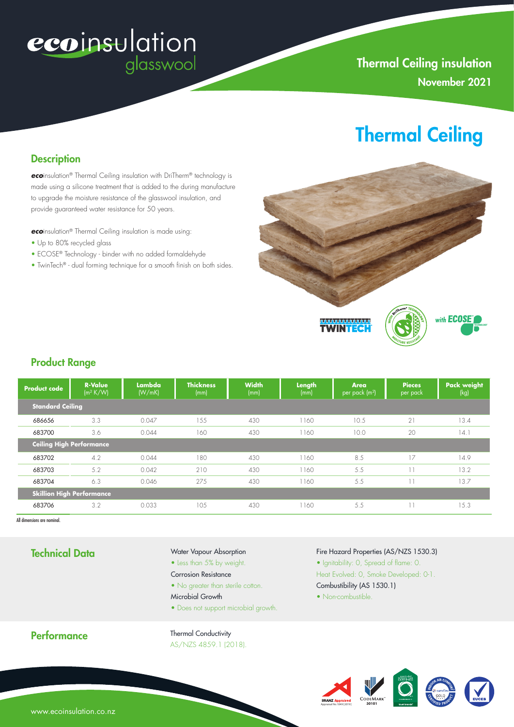# ecoinsulation

### **Thermal Ceiling insulation** November 2021

## Thermal Ceiling

#### **Description**

*eco*insulation® Thermal Ceiling insulation with DriTherm® technology is made using a silicone treatment that is added to the during manufacture to upgrade the moisture resistance of the glasswool insulation, and provide guaranteed water resistance for 50 years.

*eco*insulation® Thermal Ceiling insulation is made using:

- Up to 80% recycled glass
- ECOSE® Technology binder with no added formaldehyde
- TwinTech® dual forming technique for a smooth finish on both sides.



#### Product Range

| <b>Product code</b>              | <b>R-Value</b><br>$(m^2 K/W)$ | Lambda <b>İ</b><br>(W/mK) | <b>Thickness</b><br>(mm) | <b>Width</b><br>(mm) | Length<br>(mm) | Area<br>$ per$ pack $(m2)$ | <b>Pieces</b><br>per pack | <b>Pack weight</b><br>(kg) |
|----------------------------------|-------------------------------|---------------------------|--------------------------|----------------------|----------------|----------------------------|---------------------------|----------------------------|
| <b>Standard Ceiling</b>          |                               |                           |                          |                      |                |                            |                           |                            |
| 686656                           | 3.3                           | 0.047                     | 1.5.5                    | 430                  | 1160           | 10.5                       | 21                        | 13.4                       |
| 683700                           | 3.6                           | 0.044                     | 160                      | 430                  | 1160           | 10.0                       | 20                        | 14.1                       |
| <b>Ceiling High Performance</b>  |                               |                           |                          |                      |                |                            |                           |                            |
| 683702                           | 4.2                           | 0.044                     | 180                      | 430                  | 1160           | 8.5                        | 17                        | 14.9                       |
| 683703                           | 5.2                           | 0.042                     | 210                      | 430                  | 1160           | 5.5                        | . .                       | 13.2                       |
| 683704                           | 6.3                           | 0.046                     | 275                      | 430                  | 1160           | 5.5                        | $\mathbf{1}$              | 13.7                       |
| <b>Skillion High Performance</b> |                               |                           |                          |                      |                |                            |                           |                            |
| 683706                           | 3.2                           | 0.033                     | 10.5                     | 430                  | 1160           | 5.5                        | 11                        | 15.3                       |

All dimensions are nominal.

#### Technical Data

#### Water Vapour Absorption

- Less than 5% by weight.
- Corrosion Resistance
- No greater than sterile cotton.
- Microbial Growth
- Does not support microbial growth.

#### Fire Hazard Properties (AS/NZS 1530.3)

• Ignitability: 0, Spread of flame: 0.

Heat Evolved: 0, Smoke Developed: 0-1.

- Combustibility (AS 1530.1)
- Non-combustible



Thermal Conductivity AS/NZS 4859.1 (2018).